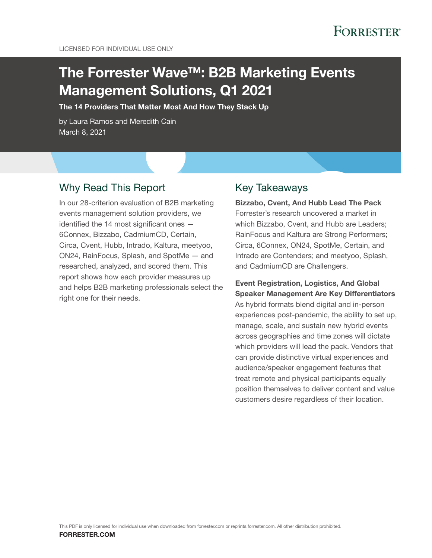# The Forrester Wave™: B2B Marketing Events Management Solutions, Q1 2021

The 14 Providers That Matter Most And How They Stack Up

by Laura Ramos and Meredith Cain March 8, 2021

# Why Read This Report

In our 28-criterion evaluation of B2B marketing events management solution providers, we identified the 14 most significant ones — 6Connex, Bizzabo, CadmiumCD, Certain, Circa, Cvent, Hubb, Intrado, Kaltura, meetyoo, ON24, RainFocus, Splash, and SpotMe — and researched, analyzed, and scored them. This report shows how each provider measures up and helps B2B marketing professionals select the right one for their needs.

# Key Takeaways

Bizzabo, Cvent, And Hubb Lead The Pack Forrester's research uncovered a market in which Bizzabo, Cvent, and Hubb are Leaders; RainFocus and Kaltura are Strong Performers; Circa, 6Connex, ON24, SpotMe, Certain, and Intrado are Contenders; and meetyoo, Splash, and CadmiumCD are Challengers.

Event Registration, Logistics, And Global Speaker Management Are Key Differentiators As hybrid formats blend digital and in-person experiences post-pandemic, the ability to set up, manage, scale, and sustain new hybrid events across geographies and time zones will dictate which providers will lead the pack. Vendors that can provide distinctive virtual experiences and audience/speaker engagement features that treat remote and physical participants equally position themselves to deliver content and value customers desire regardless of their location.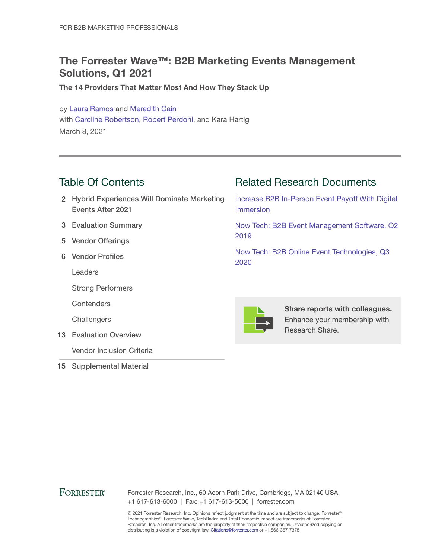# The Forrester Wave™: B2B Marketing Events Management Solutions, Q1 2021

The 14 Providers That Matter Most And How They Stack Up

by [Laura Ramos](http://www.forrester.com/go?objectid=BIO827) and [Meredith Cain](http://www.forrester.com/go?objectid=BIO10844) with [Caroline Robertson,](http://www.forrester.com/go?objectid=BIO11764) [Robert Perdoni,](http://www.forrester.com/go?objectid=BIO12364) and Kara Hartig March 8, 2021

# Table Of Contents

- 2 Hybrid Experiences Will Dominate Marketing Events After 2021
- 3 Evaluation Summary
- 5 Vendor Offerings
- 6 Vendor Profiles

Leaders

Strong Performers

**Contenders** 

**Challengers** 

13 Evaluation Overview

Vendor Inclusion Criteria

15 Supplemental Material

# Related Research Documents

[Increase B2B In-Person Event Payoff With Digital](http://www.forrester.com/go?objectid=RES131781)  [Immersion](http://www.forrester.com/go?objectid=RES131781)

[Now Tech: B2B Event Management Software, Q2](http://www.forrester.com/go?objectid=RES144377)  [2019](http://www.forrester.com/go?objectid=RES144377)

[Now Tech: B2B Online Event Technologies, Q3](http://www.forrester.com/go?objectid=RES161315)  [2020](http://www.forrester.com/go?objectid=RES161315)



Share reports with colleagues. Enhance your membership with Research Share.

## **FORRESTER®**

Forrester Research, Inc., 60 Acorn Park Drive, Cambridge, MA 02140 USA +1 617-613-6000 | Fax: +1 617-613-5000 | forrester.com

© 2021 Forrester Research, Inc. Opinions reflect judgment at the time and are subject to change. Forrester®, Technographics®, Forrester Wave, TechRadar, and Total Economic Impact are trademarks of Forrester Research, Inc. All other trademarks are the property of their respective companies. Unauthorized copying or distributing is a violation of copyright law. Citations@forrester.com or +1 866-367-7378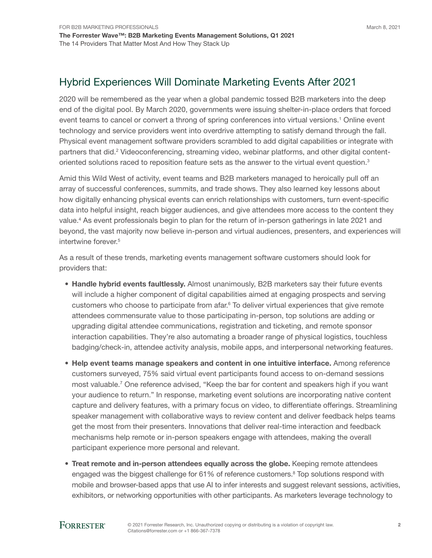# Hybrid Experiences Will Dominate Marketing Events After 2021

2020 will be remembered as the year when a global pandemic tossed B2B marketers into the deep end of the digital pool. By March 2020, governments were issuing shelter-in-place orders that forced event teams to cancel or convert a throng of spring conferences into virtual versions.<sup>1</sup> Online event technology and service providers went into overdrive attempting to satisfy demand through the fall. Physical event management software providers scrambled to add digital capabilities or integrate with partners that did.<sup>2</sup> Videoconferencing, streaming video, webinar platforms, and other digital contentoriented solutions raced to reposition feature sets as the answer to the virtual event question.<sup>3</sup>

Amid this Wild West of activity, event teams and B2B marketers managed to heroically pull off an array of successful conferences, summits, and trade shows. They also learned key lessons about how digitally enhancing physical events can enrich relationships with customers, turn event-specific data into helpful insight, reach bigger audiences, and give attendees more access to the content they value.<sup>4</sup> As event professionals begin to plan for the return of in-person gatherings in late 2021 and beyond, the vast majority now believe in-person and virtual audiences, presenters, and experiences will intertwine forever.<sup>5</sup>

As a result of these trends, marketing events management software customers should look for providers that:

- Handle hybrid events faultlessly. Almost unanimously, B2B marketers say their future events will include a higher component of digital capabilities aimed at engaging prospects and serving customers who choose to participate from afar.<sup>6</sup> To deliver virtual experiences that give remote attendees commensurate value to those participating in-person, top solutions are adding or upgrading digital attendee communications, registration and ticketing, and remote sponsor interaction capabilities. They're also automating a broader range of physical logistics, touchless badging/check-in, attendee activity analysis, mobile apps, and interpersonal networking features.
- Help event teams manage speakers and content in one intuitive interface. Among reference customers surveyed, 75% said virtual event participants found access to on-demand sessions most valuable.<sup>7</sup> One reference advised, "Keep the bar for content and speakers high if you want your audience to return." In response, marketing event solutions are incorporating native content capture and delivery features, with a primary focus on video, to differentiate offerings. Streamlining speaker management with collaborative ways to review content and deliver feedback helps teams get the most from their presenters. Innovations that deliver real-time interaction and feedback mechanisms help remote or in-person speakers engage with attendees, making the overall participant experience more personal and relevant.
- Treat remote and in-person attendees equally across the globe. Keeping remote attendees engaged was the biggest challenge for 61% of reference customers.<sup>8</sup> Top solutions respond with mobile and browser-based apps that use AI to infer interests and suggest relevant sessions, activities, exhibitors, or networking opportunities with other participants. As marketers leverage technology to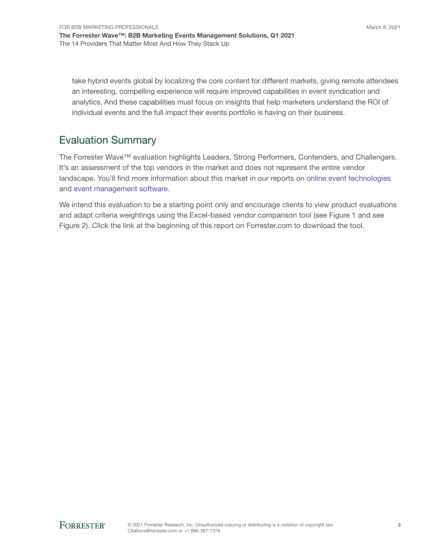take hybrid events global by localizing the core content for different markets, giving remote attendees an interesting, compelling experience will require improved capabilities in event syndication and analytics. And these capabilities must focus on insights that help marketers understand the ROI of individual events and the full impact their events portfolio is having on their business.

# Evaluation Summary

The Forrester Wave™ evaluation highlights Leaders, Strong Performers, Contenders, and Challengers. It's an assessment of the top vendors in the market and does not represent the entire vendor landscape. You'll find more information about this market in our reports on [online event technologies](https://www.forrester.com/go?objectid=res161315) and [event management software.](https://www.forrester.com/go?objectid=res144377)

We intend this evaluation to be a starting point only and encourage clients to view product evaluations and adapt criteria weightings using the Excel-based vendor comparison tool (see Figure 1 and see Figure 2). Click the link at the beginning of this report on Forrester.com to download the tool.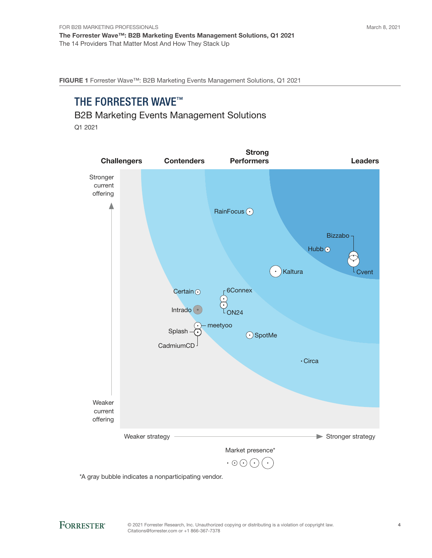FIGURE 1 Forrester Wave™: B2B Marketing Events Management Solutions, Q1 2021

# THE FORRESTER WAVE™

## B2B Marketing Events Management Solutions

Q1 2021



\*A gray bubble indicates a nonparticipating vendor.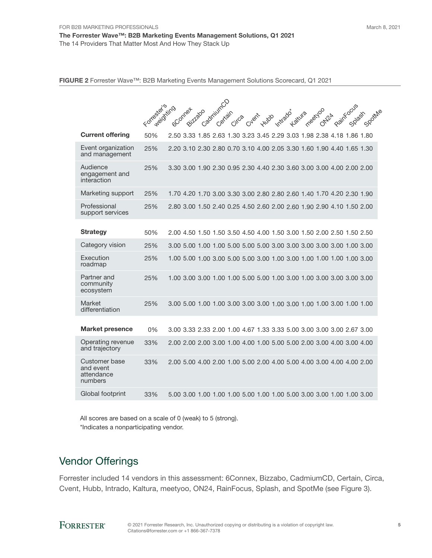FIGURE 2 Forrester Wave™: B2B Marketing Events Management Solutions Scorecard, Q1 2021

|                                                     | Forrester string | CadmiumCD<br>Raintocus<br>GConner<br>Bitcheso<br>meetyoo<br>$\gamma^\mathtt{b}$ |
|-----------------------------------------------------|------------------|---------------------------------------------------------------------------------|
|                                                     |                  | Intrado<br>Spottyle<br>Katura<br>Certain<br>Cyent<br>Hubo<br>Circa<br>$Q_{Z}$   |
| <b>Current offering</b>                             | 50%              | 2.50 3.33 1.85 2.63 1.30 3.23 3.45 2.29 3.03 1.98 2.38 4.18 1.86 1.80           |
| Event organization<br>and management                | 25%              | 2.20 3.10 2.30 2.80 0.70 3.10 4.00 2.05 3.30 1.60 1.90 4.40 1.65 1.30           |
| Audience<br>engagement and<br>interaction           | 25%              | 3.30 3.00 1.90 2.30 0.95 2.30 4.40 2.30 3.60 3.00 3.00 4.00 2.00 2.00           |
| Marketing support                                   | 25%              | 1.70 4.20 1.70 3.00 3.30 3.00 2.80 2.80 2.60 1.40 1.70 4.20 2.30 1.90           |
| Professional<br>support services                    | 25%              | 2.80 3.00 1.50 2.40 0.25 4.50 2.60 2.00 2.60 1.90 2.90 4.10 1.50 2.00           |
| <b>Strategy</b>                                     | 50%              | 2.00 4.50 1.50 1.50 3.50 4.50 4.00 1.50 3.00 1.50 2.00 2.50 1.50 2.50           |
| Category vision                                     | 25%              |                                                                                 |
| Execution<br>roadmap                                | 25%              | 1.00 5.00 1.00 3.00 5.00 5.00 3.00 1.00 3.00 1.00 1.00 1.00 1.00 3.00           |
| Partner and<br>community<br>ecosystem               | 25%              | 1.00 3.00 3.00 1.00 1.00 5.00 5.00 1.00 3.00 1.00 3.00 3.00 3.00 3.00           |
| Market<br>differentiation                           | 25%              |                                                                                 |
| <b>Market presence</b>                              | 0%               | 3.00 3.33 2.33 2.00 1.00 4.67 1.33 3.33 5.00 3.00 3.00 3.00 2.67 3.00           |
| Operating revenue<br>and trajectory                 | 33%              | 2.00 2.00 2.00 3.00 1.00 4.00 1.00 5.00 5.00 2.00 3.00 4.00 3.00 4.00           |
| Customer base<br>and event<br>attendance<br>numbers | 33%              | 2.00 5.00 4.00 2.00 1.00 5.00 2.00 4.00 5.00 4.00 3.00 4.00 4.00 2.00           |
| Global footprint                                    | 33%              | 5.00 3.00 1.00 1.00 1.00 5.00 1.00 1.00 5.00 3.00 3.00 1.00 1.00 3.00           |

All scores are based on a scale of 0 (weak) to 5 (strong). \*Indicates a nonparticipating vendor.

# Vendor Offerings

Forrester included 14 vendors in this assessment: 6Connex, Bizzabo, CadmiumCD, Certain, Circa, Cvent, Hubb, Intrado, Kaltura, meetyoo, ON24, RainFocus, Splash, and SpotMe (see Figure 3).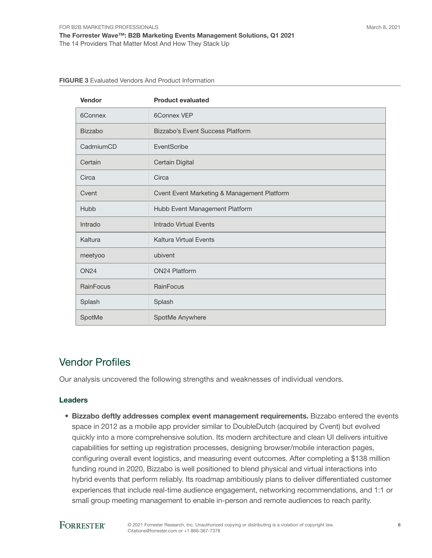| Vendor         | <b>Product evaluated</b>                    |
|----------------|---------------------------------------------|
| 6Connex        | <b>6Connex VEP</b>                          |
| <b>Bizzabo</b> | Bizzabo's Event Success Platform            |
| CadmiumCD      | EventScribe                                 |
| Certain        | Certain Digital                             |
| Circa          | Circa                                       |
| Cvent          | Cvent Event Marketing & Management Platform |
| Hubb           | Hubb Event Management Platform              |
| Intrado        | Intrado Virtual Events                      |
| Kaltura        | <b>Kaltura Virtual Events</b>               |
| meetyoo        | ubivent                                     |
| <b>ON24</b>    | <b>ON24 Platform</b>                        |
| RainFocus      | RainFocus                                   |
| Splash         | Splash                                      |
| SpotMe         | SpotMe Anywhere                             |

#### FIGURE 3 Evaluated Vendors And Product Information

# Vendor Profiles

Our analysis uncovered the following strengths and weaknesses of individual vendors.

#### Leaders

• Bizzabo deftly addresses complex event management requirements. Bizzabo entered the events space in 2012 as a mobile app provider similar to DoubleDutch (acquired by Cvent) but evolved quickly into a more comprehensive solution. Its modern architecture and clean UI delivers intuitive capabilities for setting up registration processes, designing browser/mobile interaction pages, configuring overall event logistics, and measuring event outcomes. After completing a \$138 million funding round in 2020, Bizzabo is well positioned to blend physical and virtual interactions into hybrid events that perform reliably. Its roadmap ambitiously plans to deliver differentiated customer experiences that include real-time audience engagement, networking recommendations, and 1:1 or small group meeting management to enable in-person and remote audiences to reach parity.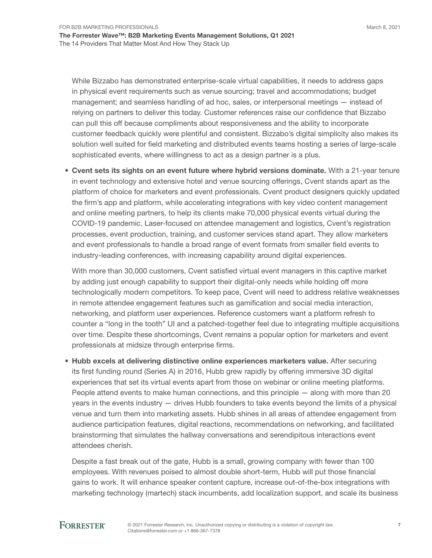While Bizzabo has demonstrated enterprise-scale virtual capabilities, it needs to address gaps in physical event requirements such as venue sourcing; travel and accommodations; budget management; and seamless handling of ad hoc, sales, or interpersonal meetings — instead of relying on partners to deliver this today. Customer references raise our confidence that Bizzabo can pull this off because compliments about responsiveness and the ability to incorporate customer feedback quickly were plentiful and consistent. Bizzabo's digital simplicity also makes its solution well suited for field marketing and distributed events teams hosting a series of large-scale sophisticated events, where willingness to act as a design partner is a plus.

• Cvent sets its sights on an event future where hybrid versions dominate. With a 21-year tenure in event technology and extensive hotel and venue sourcing offerings, Cvent stands apart as the platform of choice for marketers and event professionals. Cvent product designers quickly updated the firm's app and platform, while accelerating integrations with key video content management and online meeting partners, to help its clients make 70,000 physical events virtual during the COVID-19 pandemic. Laser-focused on attendee management and logistics, Cvent's registration processes, event production, training, and customer services stand apart. They allow marketers and event professionals to handle a broad range of event formats from smaller field events to industry-leading conferences, with increasing capability around digital experiences.

With more than 30,000 customers, Cvent satisfied virtual event managers in this captive market by adding just enough capability to support their digital-only needs while holding off more technologically modern competitors. To keep pace, Cvent will need to address relative weaknesses in remote attendee engagement features such as gamification and social media interaction, networking, and platform user experiences. Reference customers want a platform refresh to counter a "long in the tooth" UI and a patched-together feel due to integrating multiple acquisitions over time. Despite these shortcomings, Cvent remains a popular option for marketers and event professionals at midsize through enterprise firms.

• Hubb excels at delivering distinctive online experiences marketers value. After securing its first funding round (Series A) in 2016, Hubb grew rapidly by offering immersive 3D digital experiences that set its virtual events apart from those on webinar or online meeting platforms. People attend events to make human connections, and this principle — along with more than 20 years in the events industry — drives Hubb founders to take events beyond the limits of a physical venue and turn them into marketing assets. Hubb shines in all areas of attendee engagement from audience participation features, digital reactions, recommendations on networking, and facilitated brainstorming that simulates the hallway conversations and serendipitous interactions event attendees cherish.

Despite a fast break out of the gate, Hubb is a small, growing company with fewer than 100 employees. With revenues poised to almost double short-term, Hubb will put those financial gains to work. It will enhance speaker content capture, increase out-of-the-box integrations with marketing technology (martech) stack incumbents, add localization support, and scale its business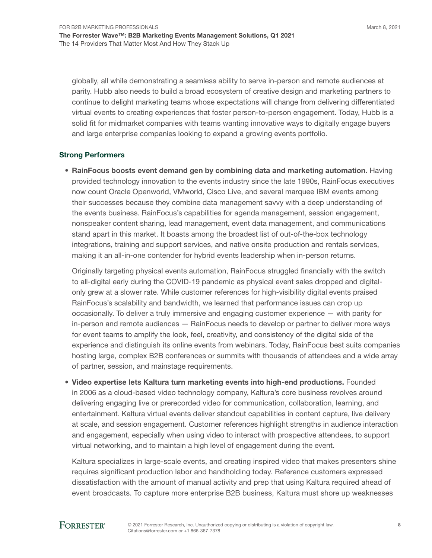globally, all while demonstrating a seamless ability to serve in-person and remote audiences at parity. Hubb also needs to build a broad ecosystem of creative design and marketing partners to continue to delight marketing teams whose expectations will change from delivering differentiated virtual events to creating experiences that foster person-to-person engagement. Today, Hubb is a solid fit for midmarket companies with teams wanting innovative ways to digitally engage buyers and large enterprise companies looking to expand a growing events portfolio.

#### Strong Performers

• RainFocus boosts event demand gen by combining data and marketing automation. Having provided technology innovation to the events industry since the late 1990s, RainFocus executives now count Oracle Openworld, VMworld, Cisco Live, and several marquee IBM events among their successes because they combine data management savvy with a deep understanding of the events business. RainFocus's capabilities for agenda management, session engagement, nonspeaker content sharing, lead management, event data management, and communications stand apart in this market. It boasts among the broadest list of out-of-the-box technology integrations, training and support services, and native onsite production and rentals services, making it an all-in-one contender for hybrid events leadership when in-person returns.

Originally targeting physical events automation, RainFocus struggled financially with the switch to all-digital early during the COVID-19 pandemic as physical event sales dropped and digitalonly grew at a slower rate. While customer references for high-visibility digital events praised RainFocus's scalability and bandwidth, we learned that performance issues can crop up occasionally. To deliver a truly immersive and engaging customer experience — with parity for in-person and remote audiences — RainFocus needs to develop or partner to deliver more ways for event teams to amplify the look, feel, creativity, and consistency of the digital side of the experience and distinguish its online events from webinars. Today, RainFocus best suits companies hosting large, complex B2B conferences or summits with thousands of attendees and a wide array of partner, session, and mainstage requirements.

• Video expertise lets Kaltura turn marketing events into high-end productions. Founded in 2006 as a cloud-based video technology company, Kaltura's core business revolves around delivering engaging live or prerecorded video for communication, collaboration, learning, and entertainment. Kaltura virtual events deliver standout capabilities in content capture, live delivery at scale, and session engagement. Customer references highlight strengths in audience interaction and engagement, especially when using video to interact with prospective attendees, to support virtual networking, and to maintain a high level of engagement during the event.

Kaltura specializes in large-scale events, and creating inspired video that makes presenters shine requires significant production labor and handholding today. Reference customers expressed dissatisfaction with the amount of manual activity and prep that using Kaltura required ahead of event broadcasts. To capture more enterprise B2B business, Kaltura must shore up weaknesses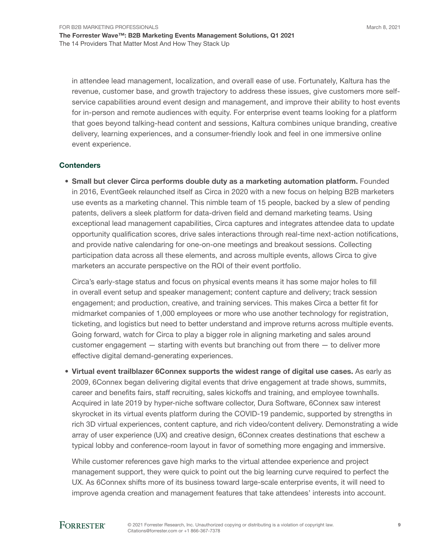in attendee lead management, localization, and overall ease of use. Fortunately, Kaltura has the revenue, customer base, and growth trajectory to address these issues, give customers more selfservice capabilities around event design and management, and improve their ability to host events for in-person and remote audiences with equity. For enterprise event teams looking for a platform that goes beyond talking-head content and sessions, Kaltura combines unique branding, creative delivery, learning experiences, and a consumer-friendly look and feel in one immersive online event experience.

#### **Contenders**

• Small but clever Circa performs double duty as a marketing automation platform. Founded in 2016, EventGeek relaunched itself as Circa in 2020 with a new focus on helping B2B marketers use events as a marketing channel. This nimble team of 15 people, backed by a slew of pending patents, delivers a sleek platform for data-driven field and demand marketing teams. Using exceptional lead management capabilities, Circa captures and integrates attendee data to update opportunity qualification scores, drive sales interactions through real-time next-action notifications, and provide native calendaring for one-on-one meetings and breakout sessions. Collecting participation data across all these elements, and across multiple events, allows Circa to give marketers an accurate perspective on the ROI of their event portfolio.

Circa's early-stage status and focus on physical events means it has some major holes to fill in overall event setup and speaker management; content capture and delivery; track session engagement; and production, creative, and training services. This makes Circa a better fit for midmarket companies of 1,000 employees or more who use another technology for registration, ticketing, and logistics but need to better understand and improve returns across multiple events. Going forward, watch for Circa to play a bigger role in aligning marketing and sales around customer engagement — starting with events but branching out from there — to deliver more effective digital demand-generating experiences.

• Virtual event trailblazer 6Connex supports the widest range of digital use cases. As early as 2009, 6Connex began delivering digital events that drive engagement at trade shows, summits, career and benefits fairs, staff recruiting, sales kickoffs and training, and employee townhalls. Acquired in late 2019 by hyper-niche software collector, Dura Software, 6Connex saw interest skyrocket in its virtual events platform during the COVID-19 pandemic, supported by strengths in rich 3D virtual experiences, content capture, and rich video/content delivery. Demonstrating a wide array of user experience (UX) and creative design, 6Connex creates destinations that eschew a typical lobby and conference-room layout in favor of something more engaging and immersive.

While customer references gave high marks to the virtual attendee experience and project management support, they were quick to point out the big learning curve required to perfect the UX. As 6Connex shifts more of its business toward large-scale enterprise events, it will need to improve agenda creation and management features that take attendees' interests into account.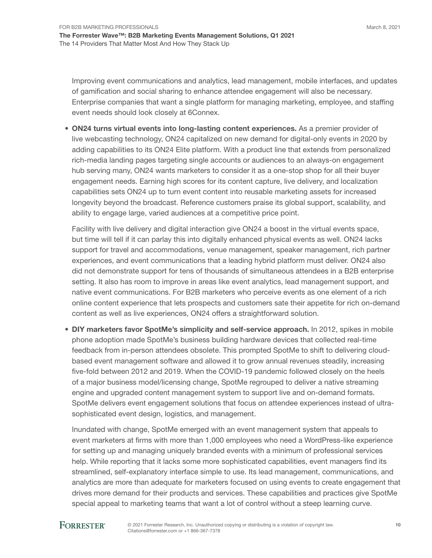Improving event communications and analytics, lead management, mobile interfaces, and updates of gamification and social sharing to enhance attendee engagement will also be necessary. Enterprise companies that want a single platform for managing marketing, employee, and staffing event needs should look closely at 6Connex.

• ON24 turns virtual events into long-lasting content experiences. As a premier provider of live webcasting technology, ON24 capitalized on new demand for digital-only events in 2020 by adding capabilities to its ON24 Elite platform. With a product line that extends from personalized rich-media landing pages targeting single accounts or audiences to an always-on engagement hub serving many, ON24 wants marketers to consider it as a one-stop shop for all their buyer engagement needs. Earning high scores for its content capture, live delivery, and localization capabilities sets ON24 up to turn event content into reusable marketing assets for increased longevity beyond the broadcast. Reference customers praise its global support, scalability, and ability to engage large, varied audiences at a competitive price point.

Facility with live delivery and digital interaction give ON24 a boost in the virtual events space, but time will tell if it can parlay this into digitally enhanced physical events as well. ON24 lacks support for travel and accommodations, venue management, speaker management, rich partner experiences, and event communications that a leading hybrid platform must deliver. ON24 also did not demonstrate support for tens of thousands of simultaneous attendees in a B2B enterprise setting. It also has room to improve in areas like event analytics, lead management support, and native event communications. For B2B marketers who perceive events as one element of a rich online content experience that lets prospects and customers sate their appetite for rich on-demand content as well as live experiences, ON24 offers a straightforward solution.

• DIY marketers favor SpotMe's simplicity and self-service approach. In 2012, spikes in mobile phone adoption made SpotMe's business building hardware devices that collected real-time feedback from in-person attendees obsolete. This prompted SpotMe to shift to delivering cloudbased event management software and allowed it to grow annual revenues steadily, increasing five-fold between 2012 and 2019. When the COVID-19 pandemic followed closely on the heels of a major business model/licensing change, SpotMe regrouped to deliver a native streaming engine and upgraded content management system to support live and on-demand formats. SpotMe delivers event engagement solutions that focus on attendee experiences instead of ultrasophisticated event design, logistics, and management.

Inundated with change, SpotMe emerged with an event management system that appeals to event marketers at firms with more than 1,000 employees who need a WordPress-like experience for setting up and managing uniquely branded events with a minimum of professional services help. While reporting that it lacks some more sophisticated capabilities, event managers find its streamlined, self-explanatory interface simple to use. Its lead management, communications, and analytics are more than adequate for marketers focused on using events to create engagement that drives more demand for their products and services. These capabilities and practices give SpotMe special appeal to marketing teams that want a lot of control without a steep learning curve.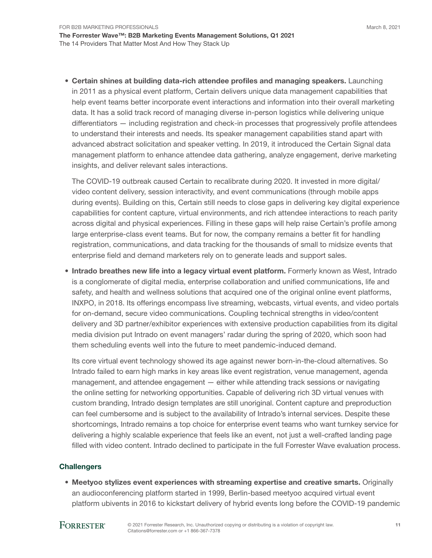• Certain shines at building data-rich attendee profiles and managing speakers. Launching in 2011 as a physical event platform, Certain delivers unique data management capabilities that help event teams better incorporate event interactions and information into their overall marketing data. It has a solid track record of managing diverse in-person logistics while delivering unique differentiators — including registration and check-in processes that progressively profile attendees to understand their interests and needs. Its speaker management capabilities stand apart with advanced abstract solicitation and speaker vetting. In 2019, it introduced the Certain Signal data management platform to enhance attendee data gathering, analyze engagement, derive marketing insights, and deliver relevant sales interactions.

The COVID-19 outbreak caused Certain to recalibrate during 2020. It invested in more digital/ video content delivery, session interactivity, and event communications (through mobile apps during events). Building on this, Certain still needs to close gaps in delivering key digital experience capabilities for content capture, virtual environments, and rich attendee interactions to reach parity across digital and physical experiences. Filling in these gaps will help raise Certain's profile among large enterprise-class event teams. But for now, the company remains a better fit for handling registration, communications, and data tracking for the thousands of small to midsize events that enterprise field and demand marketers rely on to generate leads and support sales.

• Intrado breathes new life into a legacy virtual event platform. Formerly known as West, Intrado is a conglomerate of digital media, enterprise collaboration and unified communications, life and safety, and health and wellness solutions that acquired one of the original online event platforms, INXPO, in 2018. Its offerings encompass live streaming, webcasts, virtual events, and video portals for on-demand, secure video communications. Coupling technical strengths in video/content delivery and 3D partner/exhibitor experiences with extensive production capabilities from its digital media division put Intrado on event managers' radar during the spring of 2020, which soon had them scheduling events well into the future to meet pandemic-induced demand.

Its core virtual event technology showed its age against newer born-in-the-cloud alternatives. So Intrado failed to earn high marks in key areas like event registration, venue management, agenda management, and attendee engagement — either while attending track sessions or navigating the online setting for networking opportunities. Capable of delivering rich 3D virtual venues with custom branding, Intrado design templates are still unoriginal. Content capture and preproduction can feel cumbersome and is subject to the availability of Intrado's internal services. Despite these shortcomings, Intrado remains a top choice for enterprise event teams who want turnkey service for delivering a highly scalable experience that feels like an event, not just a well-crafted landing page filled with video content. Intrado declined to participate in the full Forrester Wave evaluation process.

#### **Challengers**

• Meetyoo stylizes event experiences with streaming expertise and creative smarts. Originally an audioconferencing platform started in 1999, Berlin-based meetyoo acquired virtual event platform ubivents in 2016 to kickstart delivery of hybrid events long before the COVID-19 pandemic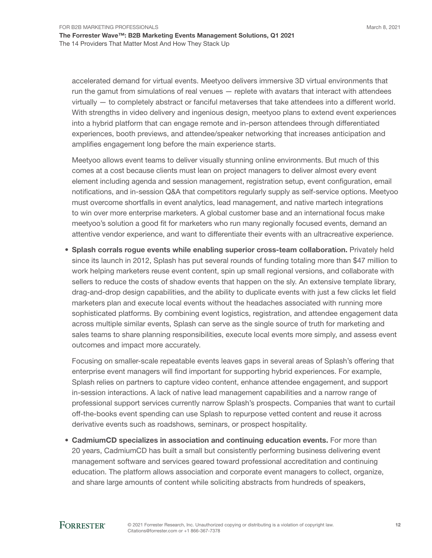accelerated demand for virtual events. Meetyoo delivers immersive 3D virtual environments that run the gamut from simulations of real venues — replete with avatars that interact with attendees virtually — to completely abstract or fanciful metaverses that take attendees into a different world. With strengths in video delivery and ingenious design, meetyoo plans to extend event experiences into a hybrid platform that can engage remote and in-person attendees through differentiated experiences, booth previews, and attendee/speaker networking that increases anticipation and amplifies engagement long before the main experience starts.

Meetyoo allows event teams to deliver visually stunning online environments. But much of this comes at a cost because clients must lean on project managers to deliver almost every event element including agenda and session management, registration setup, event configuration, email notifications, and in-session Q&A that competitors regularly supply as self-service options. Meetyoo must overcome shortfalls in event analytics, lead management, and native martech integrations to win over more enterprise marketers. A global customer base and an international focus make meetyoo's solution a good fit for marketers who run many regionally focused events, demand an attentive vendor experience, and want to differentiate their events with an ultracreative experience.

• Splash corrals rogue events while enabling superior cross-team collaboration. Privately held since its launch in 2012, Splash has put several rounds of funding totaling more than \$47 million to work helping marketers reuse event content, spin up small regional versions, and collaborate with sellers to reduce the costs of shadow events that happen on the sly. An extensive template library, drag-and-drop design capabilities, and the ability to duplicate events with just a few clicks let field marketers plan and execute local events without the headaches associated with running more sophisticated platforms. By combining event logistics, registration, and attendee engagement data across multiple similar events, Splash can serve as the single source of truth for marketing and sales teams to share planning responsibilities, execute local events more simply, and assess event outcomes and impact more accurately.

Focusing on smaller-scale repeatable events leaves gaps in several areas of Splash's offering that enterprise event managers will find important for supporting hybrid experiences. For example, Splash relies on partners to capture video content, enhance attendee engagement, and support in-session interactions. A lack of native lead management capabilities and a narrow range of professional support services currently narrow Splash's prospects. Companies that want to curtail off-the-books event spending can use Splash to repurpose vetted content and reuse it across derivative events such as roadshows, seminars, or prospect hospitality.

• CadmiumCD specializes in association and continuing education events. For more than 20 years, CadmiumCD has built a small but consistently performing business delivering event management software and services geared toward professional accreditation and continuing education. The platform allows association and corporate event managers to collect, organize, and share large amounts of content while soliciting abstracts from hundreds of speakers,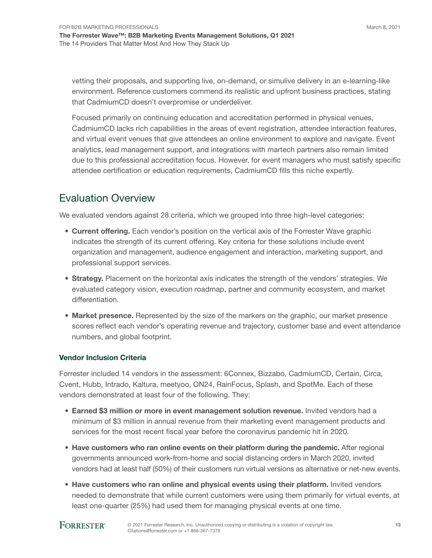March 8, 2021

vetting their proposals, and supporting live, on-demand, or simulive delivery in an e-learning-like environment. Reference customers commend its realistic and upfront business practices, stating that CadmiumCD doesn't overpromise or underdeliver.

Focused primarily on continuing education and accreditation performed in physical venues, CadmiumCD lacks rich capabilities in the areas of event registration, attendee interaction features, and virtual event venues that give attendees an online environment to explore and navigate. Event analytics, lead management support, and integrations with martech partners also remain limited due to this professional accreditation focus. However, for event managers who must satisfy specific attendee certification or education requirements, CadmiumCD fills this niche expertly.

# Evaluation Overview

We evaluated vendors against 28 criteria, which we grouped into three high-level categories:

- Current offering. Each vendor's position on the vertical axis of the Forrester Wave graphic indicates the strength of its current offering. Key criteria for these solutions include event organization and management, audience engagement and interaction, marketing support, and professional support services.
- Strategy. Placement on the horizontal axis indicates the strength of the vendors' strategies. We evaluated category vision, execution roadmap, partner and community ecosystem, and market differentiation.
- Market presence. Represented by the size of the markers on the graphic, our market presence scores reflect each vendor's operating revenue and trajectory, customer base and event attendance numbers, and global footprint.

#### Vendor Inclusion Criteria

Forrester included 14 vendors in the assessment: 6Connex, Bizzabo, CadmiumCD, Certain, Circa, Cvent, Hubb, Intrado, Kaltura, meetyoo, ON24, RainFocus, Splash, and SpotMe. Each of these vendors demonstrated at least four of the following. They:

- Earned \$3 million or more in event management solution revenue. Invited vendors had a minimum of \$3 million in annual revenue from their marketing event management products and services for the most recent fiscal year before the coronavirus pandemic hit in 2020.
- Have customers who ran online events on their platform during the pandemic. After regional governments announced work-from-home and social distancing orders in March 2020, invited vendors had at least half (50%) of their customers run virtual versions as alternative or net-new events.
- Have customers who ran online and physical events using their platform. Invited vendors needed to demonstrate that while current customers were using them primarily for virtual events, at least one-quarter (25%) had used them for managing physical events at one time.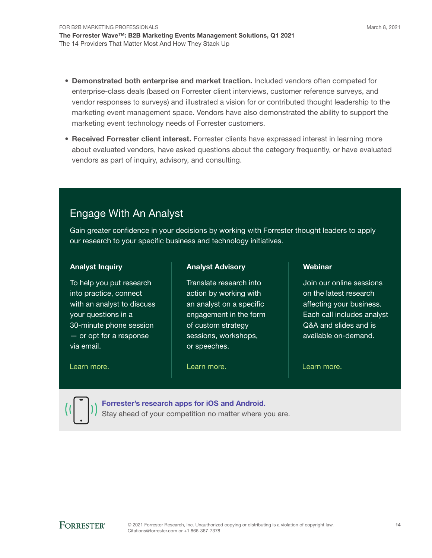- Demonstrated both enterprise and market traction. Included vendors often competed for enterprise-class deals (based on Forrester client interviews, customer reference surveys, and vendor responses to surveys) and illustrated a vision for or contributed thought leadership to the marketing event management space. Vendors have also demonstrated the ability to support the marketing event technology needs of Forrester customers.
- Received Forrester client interest. Forrester clients have expressed interest in learning more about evaluated vendors, have asked questions about the category frequently, or have evaluated vendors as part of inquiry, advisory, and consulting.

# Engage With An Analyst

Gain greater confidence in your decisions by working with Forrester thought leaders to apply our research to your specific business and technology initiatives.

#### Analyst Inquiry

To help you put research into practice, connect with an analyst to discuss your questions in a 30-minute phone session — or opt for a response via email.

#### [Learn more.](https://www.forrester.com/events?N=10006+5025) The contract the learn more. The contract the learn more.

#### Analyst Advisory

Translate research into action by working with an analyst on a specific engagement in the form of custom strategy sessions, workshops, or speeches.

Webinar

Join our online sessions on the latest research affecting your business. Each call includes analyst Q&A and slides and is available on-demand.

[Forrester's research apps for iOS and Android.](http://www.forrester.com/app)

Stay ahead of your competition no matter where you are.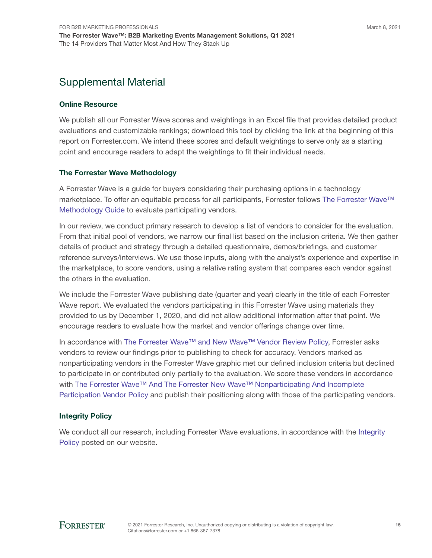# Supplemental Material

#### Online Resource

We publish all our Forrester Wave scores and weightings in an Excel file that provides detailed product evaluations and customizable rankings; download this tool by clicking the link at the beginning of this report on Forrester.com. We intend these scores and default weightings to serve only as a starting point and encourage readers to adapt the weightings to fit their individual needs.

#### The Forrester Wave Methodology

A Forrester Wave is a guide for buyers considering their purchasing options in a technology marketplace. To offer an equitable process for all participants, Forrester follows [The Forrester Wave™](https://www.forrester.com/marketing/policies/forrester-wave-methodology.html)  [Methodology Guide](https://www.forrester.com/marketing/policies/forrester-wave-methodology.html) to evaluate participating vendors.

In our review, we conduct primary research to develop a list of vendors to consider for the evaluation. From that initial pool of vendors, we narrow our final list based on the inclusion criteria. We then gather details of product and strategy through a detailed questionnaire, demos/briefings, and customer reference surveys/interviews. We use those inputs, along with the analyst's experience and expertise in the marketplace, to score vendors, using a relative rating system that compares each vendor against the others in the evaluation.

We include the Forrester Wave publishing date (quarter and year) clearly in the title of each Forrester Wave report. We evaluated the vendors participating in this Forrester Wave using materials they provided to us by December 1, 2020, and did not allow additional information after that point. We encourage readers to evaluate how the market and vendor offerings change over time.

In accordance with [The Forrester Wave™ and New Wave™ Vendor Review Policy](https://www.forrester.com/marketing/policies/wave-vendor-review-policy.html), Forrester asks vendors to review our findings prior to publishing to check for accuracy. Vendors marked as nonparticipating vendors in the Forrester Wave graphic met our defined inclusion criteria but declined to participate in or contributed only partially to the evaluation. We score these vendors in accordance with The Forrester Wave™ And The Forrester New Wave™ Nonparticipating And Incomplete [Participation Vendor Policy](https://www.forrester.com/marketing/policies/wave-vendor-nonparticipation-policy.html) and publish their positioning along with those of the participating vendors.

#### Integrity Policy

We conduct all our research, including Forrester Wave evaluations, in accordance with the Integrity [Policy](http://www.forrester.com/marketing/policies/integrity-policy.html) posted on our website.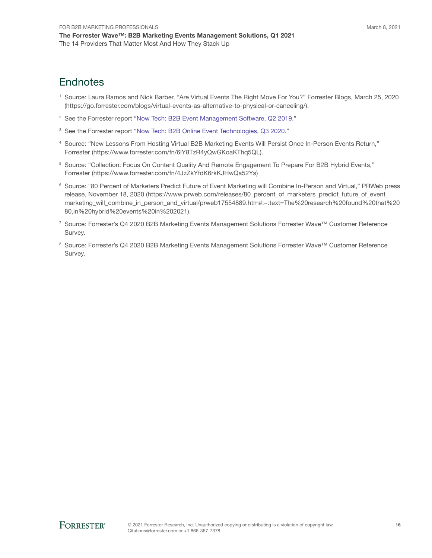# **Endnotes**

- <sup>1</sup> Source: Laura Ramos and Nick Barber, "Are Virtual Events The Right Move For You?" Forrester Blogs, March 25, 2020 (https://go.forrester.com/blogs/virtual-events-as-alternative-to-physical-or-canceling/).
- <sup>2</sup> See the Forrester report "[Now Tech: B2B Event Management Software, Q2 2019](http://www.forrester.com/go?objectid=RES144377)."
- <sup>3</sup> See the Forrester report "[Now Tech: B2B Online Event Technologies, Q3 2020.](http://www.forrester.com/go?objectid=RES161315)"
- <sup>4</sup> Source: "New Lessons From Hosting Virtual B2B Marketing Events Will Persist Once In-Person Events Return," Forrester (https://www.forrester.com/fn/6lY8TzR4yQwGKoaKThq5QL).
- <sup>5</sup> Source: "Collection: Focus On Content Quality And Remote Engagement To Prepare For B2B Hybrid Events," Forrester (https://www.forrester.com/fn/4JzZkYfdK6rkKJHwQa52Ys)
- <sup>6</sup> Source: "80 Percent of Marketers Predict Future of Event Marketing will Combine In-Person and Virtual," PRWeb press release, November 18, 2020 (https://www.prweb.com/releases/80\_percent\_of\_marketers\_predict\_future\_of\_event\_ marketing\_will\_combine\_in\_person\_and\_virtual/prweb17554889.htm#:~:text=The%20research%20found%20that%20 80,in%20hybrid%20events%20in%202021).
- <sup>7</sup> Source: Forrester's Q4 2020 B2B Marketing Events Management Solutions Forrester Wave™ Customer Reference Survey.
- <sup>8</sup> Source: Forrester's Q4 2020 B2B Marketing Events Management Solutions Forrester Wave™ Customer Reference Survey.